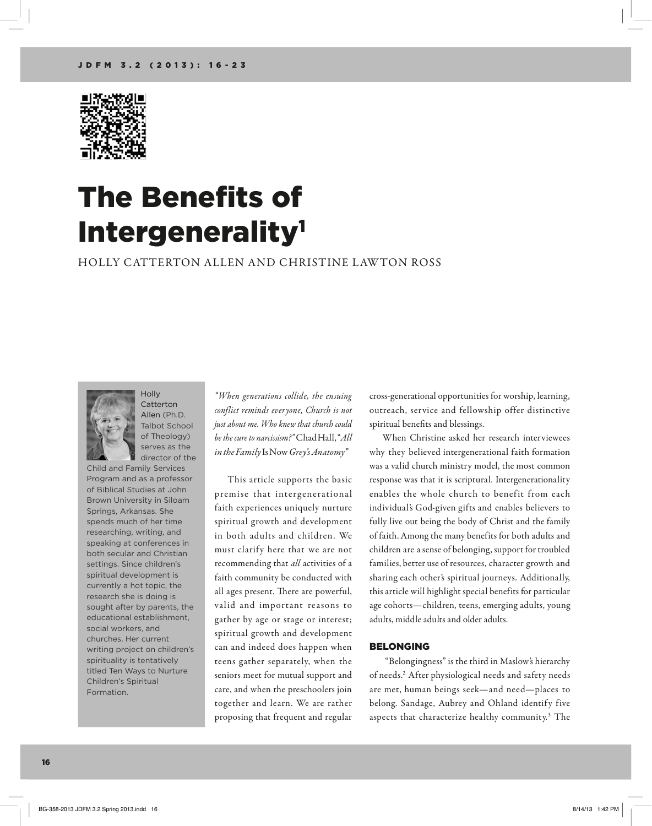

# The Benefits of Intergenerality<sup>1</sup>

HOLLY CATTERTON ALLEN AND CHRISTINE LAW TON ROSS



Holly Catterton Allen (Ph.D. Talbot School of Theology) serves as the director of the

Child and Family Services Program and as a professor of Biblical Studies at John Brown University in Siloam Springs, Arkansas. She spends much of her time researching, writing, and speaking at conferences in both secular and Christian settings. Since children's spiritual development is currently a hot topic, the research she is doing is sought after by parents, the educational establishment, social workers, and churches. Her current writing project on children's spirituality is tentatively titled Ten Ways to Nurture Children's Spiritual Formation.

" When generations collide, the ensuing conflict reminds everyone, Church is not just about me. Who knew that church could be the cure to narcissism?" Chad Hall, "All in the Family Is Now Grey's Anatomy "

This article supports the basic premise that intergenerational faith experiences uniquely nurture spiritual growth and development in both adults and children. We must clarify here that we are not recommending that all activities of a faith community be conducted with all ages present. There are powerful, valid and important reasons to gather by age or stage or interest; spiritual growth and development can and indeed does happen when teens gather separately, when the seniors meet for mutual support and care, and when the preschoolers join together and learn. We are rather proposing that frequent and regular

cross-generational opportunities for worship, learning, outreach, service and fellowship offer distinctive spiritual benefits and blessings.

When Christine asked her research interviewees why they believed intergenerational faith formation was a valid church ministry model, the most common response was that it is scriptural. Intergenerationality enables the whole church to benefit from each individual's God-given gifts and enables believers to fully live out being the body of Christ and the family of faith. Among the many benefits for both adults and children are a sense of belonging, support for troubled families, better use of resources, character growth and sharing each other's spiritual journeys. Additionally, this article will highlight special benefits for particular age cohorts—children, teens, emerging adults, young adults, middle adults and older adults.

## **BELONGING**

 "Belongingness" is the third in Maslow's hierarchy of needs.2 After physiological needs and safety needs are met, human beings seek—and need—places to belong. Sandage, Aubrey and Ohland identify five aspects that characterize healthy community.3 The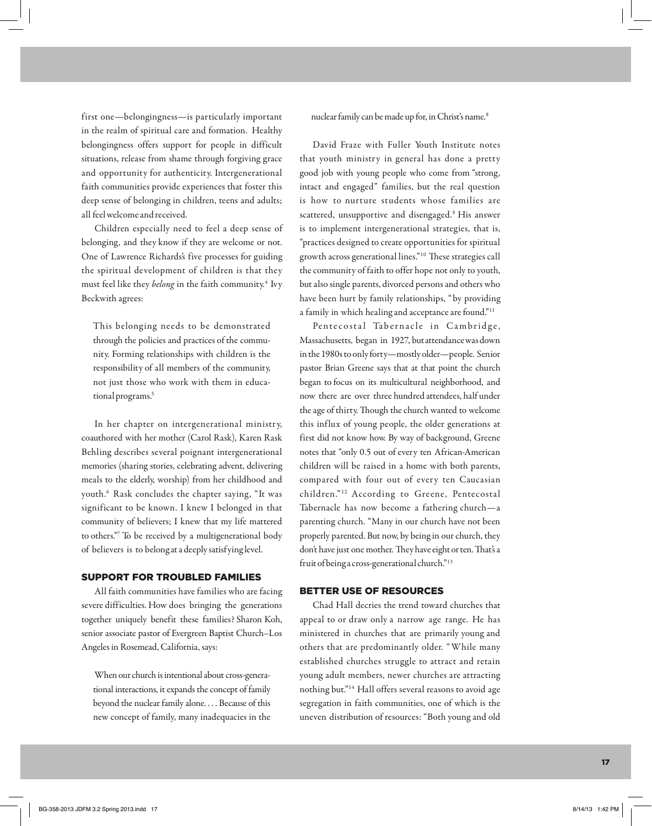first one—belongingness—is particularly important in the realm of spiritual care and formation. Healthy belongingness offers support for people in difficult situations, release from shame through forgiving grace and opportunity for authenticity. Intergenerational faith communities provide experiences that foster this deep sense of belonging in children, teens and adults; all feel welcome and received.

Children especially need to feel a deep sense of belonging, and they know if they are welcome or not. One of Lawrence Richards's five processes for guiding the spiritual development of children is that they must feel like they belong in the faith community.<sup>4</sup> Ivy Beckwith agrees:

This belonging needs to be demonstrated through the policies and practices of the community. Forming relationships with children is the responsibility of all members of the community, not just those who work with them in educational programs.5

In her chapter on intergenerational ministry, coauthored with her mother (Carol Rask), Karen Rask Behling describes several poignant intergenerational memories (sharing stories, celebrating advent, delivering meals to the elderly, worship) from her childhood and youth.6 Rask concludes the chapter saying, "It was significant to be known. I knew I belonged in that community of believers; I knew that my life mattered to others."7 To be received by a multigenerational body of believers is to belong at a deeply satisfying level.

### SUPPORT FOR TROUBLED FAMILIES

All faith communities have families who are facing severe difficulties. How does bringing the generations together uniquely benefit these families? Sharon Koh, senior associate pastor of Evergreen Baptist Church–Los Angeles in Rosemead, California, says:

When our church is intentional about cross-generational interactions, it expands the concept of family beyond the nuclear family alone. . . . Because of this new concept of family, many inadequacies in the nuclear family can be made up for, in Christ's name.8

David Fraze with Fuller Youth Institute notes that youth ministry in general has done a pretty good job with young people who come from "strong, intact and engaged" families, but the real question is how to nurture students whose families are scattered, unsupportive and disengaged.9 His answer is to implement intergenerational strategies, that is, "practices designed to create opportunities for spiritual growth across generational lines."<sup>10</sup> These strategies call the community of faith to offer hope not only to youth, but also single parents, divorced persons and others who have been hurt by family relationships, " by providing a family in which healing and acceptance are found."<sup>11</sup>

Pentecostal Tabernacle in Cambridge, Massachusetts, began in 1927, but attendance was down in the 1980s to only forty—mostly older—people. Senior pastor Brian Greene says that at that point the church began to focus on its multicultural neighborhood, and now there are over three hundred attendees, half under the age of thirty. Though the church wanted to welcome this influx of young people, the older generations at first did not know how. By way of background, Greene notes that "only 0.5 out of every ten African-American children will be raised in a home with both parents, compared with four out of every ten Caucasian children."<sup>12</sup> According to Greene, Pentecostal Tabernacle has now become a fathering church—a parenting church. "Many in our church have not been properly parented. But now, by being in our church, they don't have just one mother. They have eight or ten. That's a fruit of being a cross-generational church."13

#### BETTER USE OF RESOURCES

Chad Hall decries the trend toward churches that appeal to or draw only a narrow age range. He has ministered in churches that are primarily young and others that are predominantly older. " While many established churches struggle to attract and retain young adult members, newer churches are attracting nothing but."14 Hall offers several reasons to avoid age segregation in faith communities, one of which is the uneven distribution of resources: "Both young and old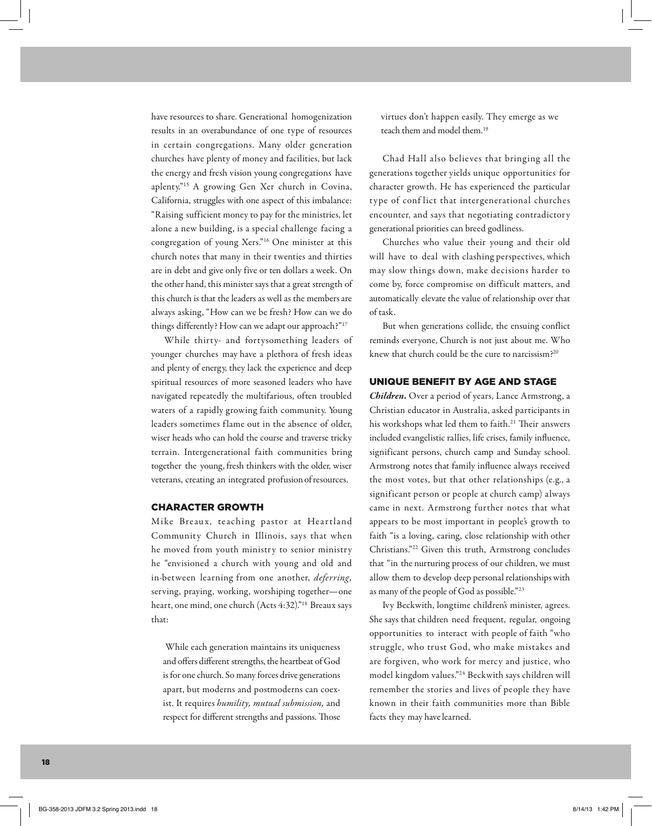have resources to share. Generational homogenization results in an overabundance of one type of resources in certain congregations. Many older generation churches have plenty of money and facilities, but lack the energy and fresh vision young congregations have aplenty."15 A growing Gen Xer church in Covina, California, struggles with one aspect of this imbalance: "Raising sufficient money to pay for the ministries, let alone a new building, is a special challenge facing a congregation of young Xers."16 One minister at this church notes that many in their twenties and thirties are in debt and give only five or ten dollars a week. On the other hand, this minister says that a great strength of this church is that the leaders as well as the members are always asking, "How can we be fresh? How can we do things differently? How can we adapt our approach?"17

While thirty- and fortysomething leaders of younger churches may have a plethora of fresh ideas and plenty of energy, they lack the experience and deep spiritual resources of more seasoned leaders who have navigated repeatedly the multifarious, often troubled waters of a rapidly growing faith community. Young leaders sometimes flame out in the absence of older, wiser heads who can hold the course and traverse tricky terrain. Intergenerational faith communities bring together the young, fresh thinkers with the older, wiser veterans, creating an integrated profusion of resources.

#### **CHARACTER GROWTH**

Mike Breaux, teaching pastor at Heartland Community Church in Illinois, says that when he moved from youth ministry to senior ministry he "envisioned a church with young and old and in-between learning from one another, deferring, serving, praying, working, worshiping together—one heart, one mind, one church (Acts 4:32)."18 Breaux says that:

While each generation maintains its uniqueness and offers different strengths, the heartbeat of God is for one church. So many forces drive generations apart, but moderns and postmoderns can coexist. It requires humility, mutual submission, and respect for different strengths and passions. Those virtues don't happen easily. They emerge as we teach them and model them.19

Chad Hall also believes that bringing all the generations together yields unique opportunities for character growth. He has experienced the particular type of conflict that intergenerational churches encounter, and says that negotiating contradictor y generational priorities can breed godliness.

Churches who value their young and their old will have to deal with clashing perspectives, which may slow things down, make decisions harder to come by, force compromise on difficult matters, and automatically elevate the value of relationship over that of task.

But when generations collide, the ensuing conflict reminds everyone, Church is not just about me. Who knew that church could be the cure to narcissism?20

### UNIQUE BENEFIT BY AGE AND STAGE

Children. Over a period of years, Lance Armstrong, a Christian educator in Australia, asked participants in his workshops what led them to faith.<sup>21</sup> Their answers included evangelistic rallies, life crises, family influence, significant persons, church camp and Sunday school. Armstrong notes that family influence always received the most votes, but that other relationships (e.g., a significant person or people at church camp) always came in next. Armstrong further notes that what appears to be most important in people's growth to faith "is a loving, caring, close relationship with other Christians."22 Given this truth, Armstrong concludes that "in the nurturing process of our children, we must allow them to develop deep personal relationships with as many of the people of God as possible."23

Ivy Beckwith, longtime children's minister, agrees. She says that children need frequent, regular, ongoing opportunities to interact with people of faith "who struggle, who trust God, who make mistakes and are forgiven, who work for mercy and justice, who model kingdom values."24 Beckwith says children will remember the stories and lives of people they have known in their faith communities more than Bible facts they may have learned.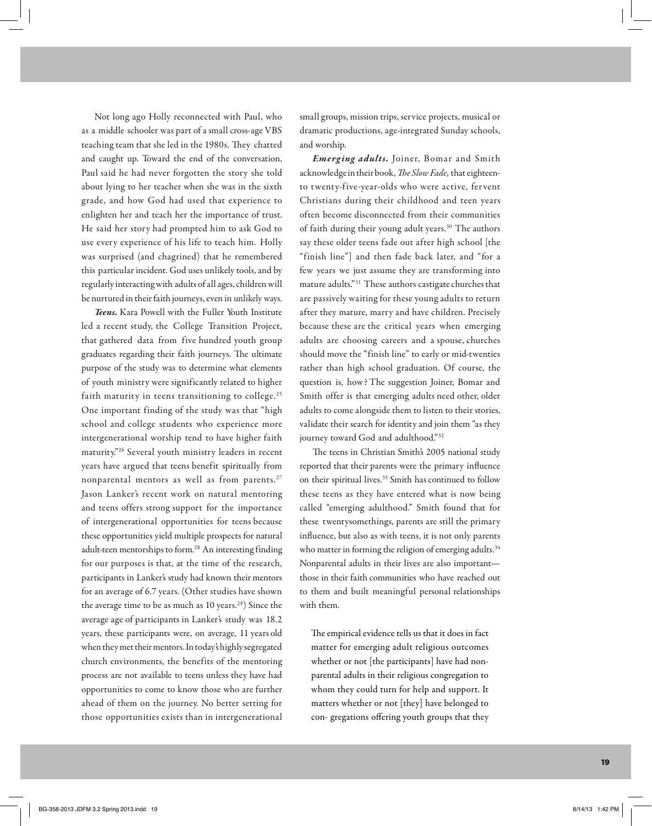Not long ago Holly reconnected with Paul, who as a middle schooler was part of a small cross-age VBS teaching team that she led in the 1980s. They chatted and caught up. Toward the end of the conversation, Paul said he had never forgotten the story she told about lying to her teacher when she was in the sixth grade, and how God had used that experience to enlighten her and teach her the importance of trust. He said her story had prompted him to ask God to use every experience of his life to teach him. Holly was surprised (and chagrined) that he remembered this particular incident. God uses unlikely tools, and by regularly interacting with adults of all ages, children will be nurtured in their faith journeys, even in unlikely ways.

Teens. Kara Powell with the Fuller Youth Institute led a recent study, the College Transition Project, that gathered data from five hundred youth group graduates regarding their faith journeys. The ultimate purpose of the study was to determine what elements of youth ministry were significantly related to higher faith maturity in teens transitioning to college.<sup>25</sup> One important finding of the study was that "high school and college students who experience more intergenerational worship tend to have higher faith maturity."26 Several youth ministry leaders in recent years have argued that teens benefit spiritually from nonparental mentors as well as from parents.<sup>27</sup> Jason Lanker's recent work on natural mentoring and teens offers strong support for the importance of intergenerational opportunities for teens because these opportunities yield multiple prospects for natural adult-teen mentorships to form.<sup>28</sup> An interesting finding for our purposes is that, at the time of the research, participants in Lanker's study had known their mentors for an average of 6.7 years. (Other studies have shown the average time to be as much as  $10$  years.<sup>29</sup>) Since the average age of participants in Lanker's study was 18.2 years, these participants were, on average, 11 years old when they met their mentors. In today's highly segregated church environments, the benefits of the mentoring process are not available to teens unless they have had opportunities to come to know those who are further ahead of them on the journey. No better setting for those opportunities exists than in intergenerational

small groups, mission trips, service projects, musical or dramatic productions, age-integrated Sunday schools, and worship.

Emerging adults. Joiner, Bomar and Smith acknowledge in their book, The Slow Fade, that eighteento twenty-five-year-olds who were active, fervent Christians during their childhood and teen years often become disconnected from their communities of faith during their young adult years.<sup>30</sup> The authors say these older teens fade out after high school [the "finish line"] and then fade back later, and "for a few years we just assume they are transforming into mature adults."31 These authors castigate churches that are passively waiting for these young adults to return after they mature, marry and have children. Precisely because these are the critical years when emerging adults are choosing careers and a spouse, churches should move the "finish line" to early or mid-twenties rather than high school graduation. Of course, the question is, how? The suggestion Joiner, Bomar and Smith offer is that emerging adults need other, older adults to come alongside them to listen to their stories, validate their search for identity and join them "as they journey toward God and adulthood."32

The teens in Christian Smith's 2005 national study reported that their parents were the primary influence on their spiritual lives.<sup>33</sup> Smith has continued to follow these teens as they have entered what is now being called "emerging adulthood." Smith found that for these twentysomethings, parents are still the primary influence, but also as with teens, it is not only parents who matter in forming the religion of emerging adults.<sup>34</sup> Nonparental adults in their lives are also important those in their faith communities who have reached out to them and built meaningful personal relationships with them.

The empirical evidence tells us that it does in fact matter for emerging adult religious outcomes whether or not [the participants] have had nonparental adults in their religious congregation to whom they could turn for help and support. It matters whether or not [they] have belonged to con- gregations offering youth groups that they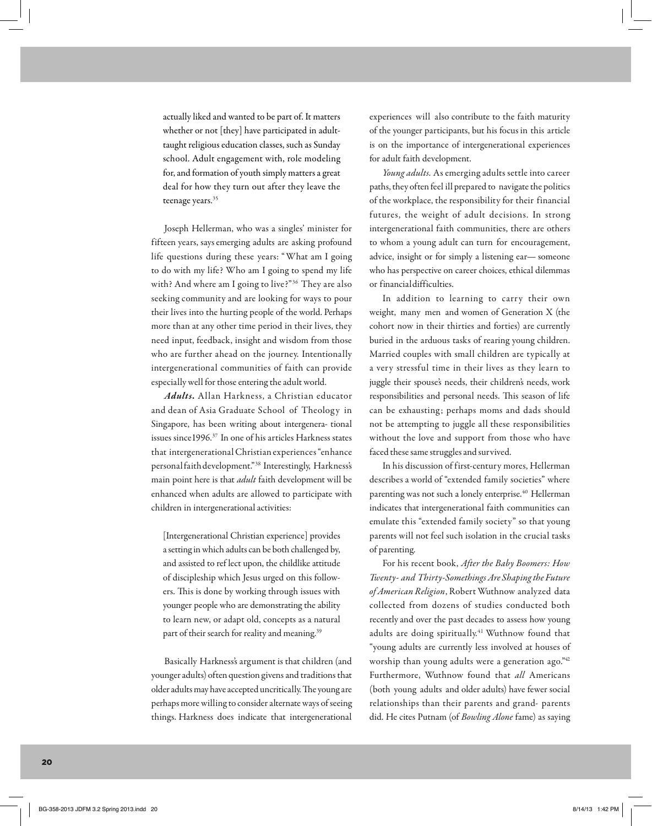actually liked and wanted to be part of. It matters whether or not [they] have participated in adulttaught religious education classes, such as Sunday school. Adult engagement with, role modeling for, and formation of youth simply matters a great deal for how they turn out after they leave the teenage years. 35

Joseph Hellerman, who was a singles' minister for fifteen years, saysemerging adults are asking profound life questions during these years: " What am I going to do with my life? Who am I going to spend my life with? And where am I going to live?"36 They are also seeking community and are looking for ways to pour their lives into the hurting people of the world. Perhaps more than at any other time period in their lives, they need input, feedback, insight and wisdom from those who are further ahead on the journey. Intentionally intergenerational communities of faith can provide especially well for those entering the adult world.

Adults. Allan Harkness, a Christian educator and dean of Asia Graduate School of Theology in Singapore, has been writing about intergenera- tional issues since1996.37 In one of his articles Harkness states that intergenerational Christian experiences "enhance personal faith development."38 Interestingly, Harkness's main point here is that *adult* faith development will be enhanced when adults are allowed to participate with children in intergenerational activities:

[Intergenerational Christian experience] provides a setting in which adults can be both challenged by, and assisted to ref lect upon, the childlike attitude of discipleship which Jesus urged on this followers. This is done by working through issues with younger people who are demonstrating the ability to learn new, or adapt old, concepts as a natural part of their search for reality and meaning.<sup>39</sup>

Basically Harkness's argument is that children (and younger adults) often question givens and traditions that older adults may have accepted uncritically. The young are perhaps more willing to consider alternate ways of seeing things. Harkness does indicate that intergenerational

experiences will also contribute to the faith maturity of the younger participants, but his focus in this article is on the importance of intergenerational experiences for adult faith development.

Young adults. As emerging adults settle into career paths, they often feel ill prepared to navigate the politics of the workplace, the responsibility for their financial futures, the weight of adult decisions. In strong intergenerational faith communities, there are others to whom a young adult can turn for encouragement, advice, insight or for simply a listening ear— someone who has perspective on career choices, ethical dilemmas or financial difficulties.

In addition to learning to carry their own weight, many men and women of Generation X (the cohort now in their thirties and forties) are currently buried in the arduous tasks of rearing young children. Married couples with small children are typically at a very stressful time in their lives as they learn to juggle their spouse's needs, their children's needs, work responsibilities and personal needs. This season of life can be exhausting; perhaps moms and dads should not be attempting to juggle all these responsibilities without the love and support from those who have faced these same struggles and survived.

In his discussion of first-century mores, Hellerman describes a world of "extended family societies" where parenting was not such a lonely enterprise.<sup>40</sup> Hellerman indicates that intergenerational faith communities can emulate this "extended family society" so that young parents will not feel such isolation in the crucial tasks of parenting.

For his recent book, After the Baby Boomers: How Twenty- and Thirty-Somethings Are Shaping the Future of American Religion, Robert Wuthnow analyzed data collected from dozens of studies conducted both recently and over the past decades to assess how young adults are doing spiritually.<sup>41</sup> Wuthnow found that "young adults are currently less involved at houses of worship than young adults were a generation ago."<sup>42</sup> Furthermore, Wuthnow found that all Americans (both young adults and older adults) have fewer social relationships than their parents and grand- parents did. He cites Putnam (of Bowling Alone fame) as saying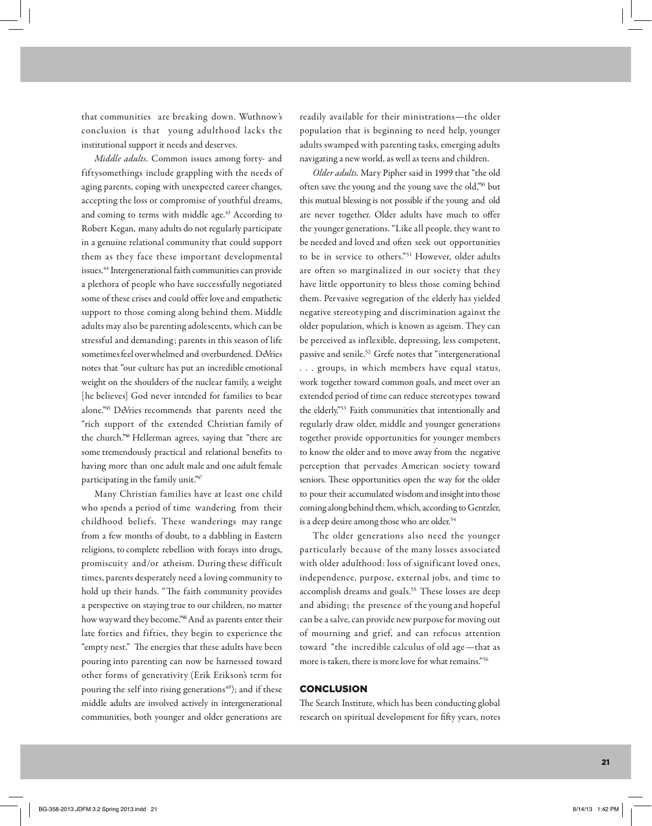that communities are breaking down. Wuthnow's conclusion is that young adulthood lacks the institutional support it needs and deserves.

Middle adults. Common issues among forty- and fiftysomethings include grappling with the needs of aging parents, coping with unexpected career changes, accepting the loss or compromise of youthful dreams, and coming to terms with middle age.<sup>43</sup> According to Robert Kegan, many adults do not regularly participate in a genuine relational community that could support them as they face these important developmental issues.<sup>44</sup> Intergenerational faith communities can provide a plethora of people who have successfully negotiated some of these crises and could offer love and empathetic support to those coming along behind them. Middle adults may also be parenting adolescents, which can be stressful and demanding; parents in this season of life sometimes feel overwhelmed and overburdened. DeVries notes that "our culture has put an incredible emotional weight on the shoulders of the nuclear family, a weight [he believes] God never intended for families to bear alone."45 DeVries recommends that parents need the "rich support of the extended Christian family of the church."46 Hellerman agrees, saying that "there are some tremendously practical and relational benefits to having more than one adult male and one adult female participating in the family unit."47

Many Christian families have at least one child who spends a period of time wandering from their childhood beliefs. These wanderings may range from a few months of doubt, to a dabbling in Eastern religions, to complete rebellion with forays into drugs, promiscuity and/or atheism. During these difficult times, parents desperately need a loving community to hold up their hands. "The faith community provides a perspective on staying true to our children, no matter how wayward they become."<sup>48</sup> And as parents enter their late forties and fifties, they begin to experience the "empty nest." The energies that these adults have been pouring into parenting can now be harnessed toward other forms of generativity (Erik Erikson's term for pouring the self into rising generations<sup>49</sup>); and if these middle adults are involved actively in intergenerational communities, both younger and older generations are

readily available for their ministrations—the older population that is beginning to need help, younger adults swamped with parenting tasks, emerging adults navigating a new world, as well as teens and children.

Older adults. Mary Pipher said in 1999 that "the old often save the young and the young save the old,"<sup>50</sup> but this mutual blessing is not possible if the young and old are never together. Older adults have much to offer the younger generations. "Like all people, they want to be needed and loved and often seek out opportunities to be in ser vice to others."51 However, older adults are often so marginalized in our society that they have little opportunity to bless those coming behind them. Pervasive segregation of the elderly has yielded negative stereotyping and discrimination against the older population, which is known as ageism. They can be perceived as inflexible, depressing, less competent, passive and senile.52 Grefe notes that "intergenerational . . . groups, in which members have equal status, work together toward common goals, and meet over an extended period of time can reduce stereotypes toward the elderly."<sup>53</sup> Faith communities that intentionally and regularly draw older, middle and younger generations together provide opportunities for younger members to know the older and to move away from the negative perception that pervades American society toward seniors. These opportunities open the way for the older to pour their accumulated wisdom and insight into those coming along behind them, which, according to Gentzler, is a deep desire among those who are older.<sup>54</sup>

The older generations also need the younger particularly because of the many losses associated with older adulthood: loss of significant loved ones, independence, purpose, external jobs, and time to accomplish dreams and goals.<sup>55</sup> These losses are deep and abiding; the presence of the young and hopeful can be a salve, can provide new purpose for moving out of mourning and grief, and can refocus attention toward "the incredible calculus of old age—that as more is taken, there is more love for what remains."56

## **CONCLUSION**

The Search Institute, which has been conducting global research on spiritual development for fifty years, notes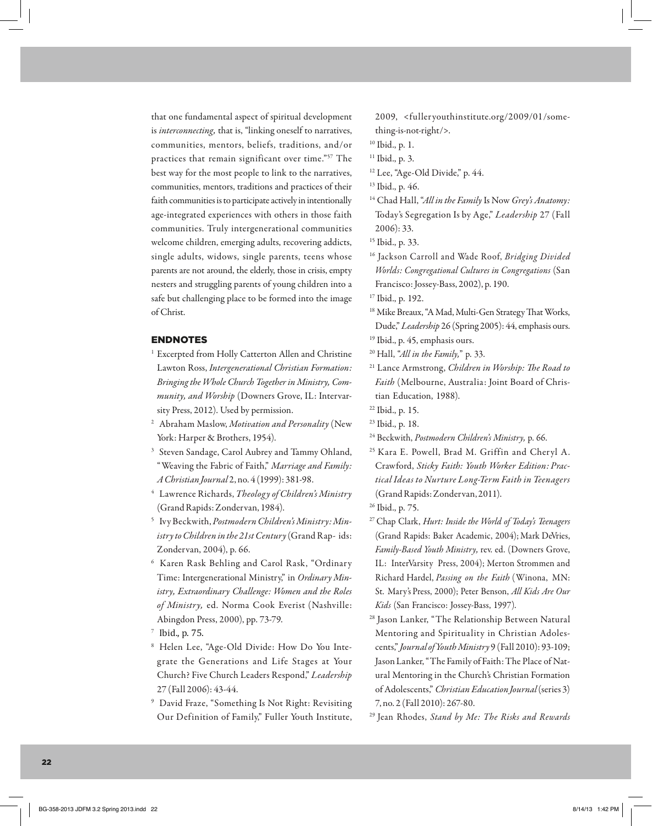that one fundamental aspect of spiritual development is interconnecting, that is, "linking oneself to narratives, communities, mentors, beliefs, traditions, and/or practices that remain significant over time."57 The best way for the most people to link to the narratives, communities, mentors, traditions and practices of their faith communities is to participate actively in intentionally age-integrated experiences with others in those faith communities. Truly intergenerational communities welcome children, emerging adults, recovering addicts, single adults, widows, single parents, teens whose parents are not around, the elderly, those in crisis, empty nesters and struggling parents of young children into a safe but challenging place to be formed into the image of Christ.

## **ENDNOTES**

- <sup>1</sup> Excerpted from Holly Catterton Allen and Christine Lawton Ross, Intergenerational Christian Formation: Bringing the Whole Church Together in Ministry, Community, and Worship (Downers Grove, IL: Intervarsity Press, 2012). Used by permission.
- <sup>2</sup> Abraham Maslow, Motivation and Personality (New York: Harper & Brothers, 1954).
- Steven Sandage, Carol Aubrey and Tammy Ohland, "Weaving the Fabric of Faith," Marriage and Family: A Christian Journal 2, no. 4 (1999): 381-98.
- <sup>4</sup> Lawrence Richards, Theology of Children's Ministry (Grand Rapids: Zondervan, 1984).
- <sup>5</sup> Ivy Beckwith, Postmodern Children's Ministry: Ministry to Children in the 21st Century (Grand Rap-ids: Zondervan, 2004), p. 66.
- <sup>6</sup> Karen Rask Behling and Carol Rask, "Ordinary Time: Intergenerational Ministry," in Ordinary Ministry, Extraordinary Challenge: Women and the Roles of Ministry, ed. Norma Cook Everist (Nashville: Abingdon Press, 2000), pp. 73-79.
- $7$  Ibid., p.  $75$ .
- <sup>8</sup> Helen Lee, "Age-Old Divide: How Do You Integrate the Generations and Life Stages at Your Church? Five Church Leaders Respond," Leadership 27 (Fall 2006): 43-44.
- <sup>9</sup> David Fraze, "Something Is Not Right: Revisiting Our Definition of Family," Fuller Youth Institute,

2009, <fulleryouthinstitute.org/2009/01/something-is-not-right/>.

<sup>12</sup> Lee, "Age-Old Divide," p. 44.

- <sup>14</sup> Chad Hall, "All in the Family Is Now Grey's Anatomy: Today's Segregation Is by Age," Leadership 27 (Fall 2006): 33.
- <sup>15</sup> Ibid., p. 33.
- <sup>16</sup> Jackson Carroll and Wade Roof, Bridging Divided Worlds: Congregational Cultures in Congregations (San Francisco: Jossey-Bass, 2002), p. 190.
- <sup>17</sup> Ibid., p. 192.
- <sup>18</sup> Mike Breaux, "A Mad, Multi-Gen Strategy That Works, Dude," Leadership 26 (Spring 2005): 44, emphasis ours.
- <sup>19</sup> Ibid., p. 45, emphasis ours.
- <sup>20</sup> Hall, "*All in the Family*," p. 33.
- <sup>21</sup> Lance Armstrong, Children in Worship: The Road to Faith (Melbourne, Australia: Joint Board of Christian Education, 1988).
- <sup>22</sup> Ibid., p. 15.
- <sup>23</sup> Ibid., p. 18.
- <sup>24</sup> Beckwith, Postmodern Children's Ministry, p. 66.
- <sup>25</sup> Kara E. Powell, Brad M. Griffin and Cheryl A. Crawford, Sticky Faith: Youth Worker Edition: Practical Ideas to Nurture Long-Term Faith in Teenagers (Grand Rapids: Zondervan, 2011).
- <sup>26</sup> Ibid., p. 75.
- <sup>27</sup> Chap Clark, Hurt: Inside the World of Today's Teenagers (Grand Rapids: Baker Academic, 2004); Mark DeVries, Family-Based Youth Ministry, rev. ed. (Downers Grove, IL: InterVarsity Press, 2004); Merton Strommen and Richard Hardel, Passing on the Faith (Winona, MN: St. Mary's Press, 2000); Peter Benson, All Kids Are Our Kids (San Francisco: Jossey-Bass, 1997).
- <sup>28</sup> Jason Lanker, "The Relationship Between Natural Mentoring and Spirituality in Christian Adolescents," Journal of Youth Ministry 9 (Fall 2010): 93-109; Jason Lanker, "The Family of Faith: The Place of Natural Mentoring in the Church's Christian Formation of Adolescents," Christian Education Journal (series 3) 7, no. 2 (Fall 2010): 267-80.
- <sup>29</sup> Jean Rhodes, Stand by Me: The Risks and Rewards

<sup>10</sup> Ibid., p. 1.

<sup>11</sup> Ibid., p. 3.

<sup>13</sup> Ibid., p. 46.